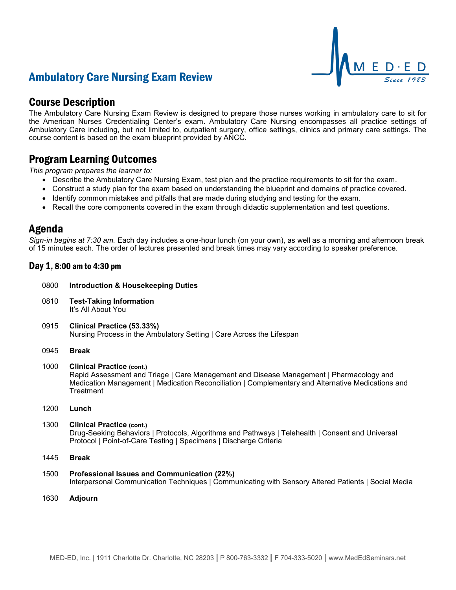## Ambulatory Care Nursing Exam Review



## Course Description

The Ambulatory Care Nursing Exam Review is designed to prepare those nurses working in ambulatory care to sit for the American Nurses Credentialing Center's exam. Ambulatory Care Nursing encompasses all practice settings of Ambulatory Care including, but not limited to, outpatient surgery, office settings, clinics and primary care settings. The course content is based on the exam blueprint provided by ANCC.

### Program Learning Outcomes

*This program prepares the learner to:*

- Describe the Ambulatory Care Nursing Exam, test plan and the practice requirements to sit for the exam.
- Construct a study plan for the exam based on understanding the blueprint and domains of practice covered.
- Identify common mistakes and pitfalls that are made during studying and testing for the exam.
- Recall the core components covered in the exam through didactic supplementation and test questions.

### Agenda

*Sign-in begins at 7:30 am.* Each day includes a one-hour lunch (on your own), as well as a morning and afternoon break of 15 minutes each. The order of lectures presented and break times may vary according to speaker preference.

### Day 1, 8:00 am to 4:30 pm

| 0800 | <b>Introduction &amp; Housekeeping Duties</b>                                                                                                                                                                                                 |
|------|-----------------------------------------------------------------------------------------------------------------------------------------------------------------------------------------------------------------------------------------------|
| 0810 | <b>Test-Taking Information</b><br>It's All About You                                                                                                                                                                                          |
| 0915 | Clinical Practice (53.33%)<br>Nursing Process in the Ambulatory Setting   Care Across the Lifespan                                                                                                                                            |
| 0945 | <b>Break</b>                                                                                                                                                                                                                                  |
| 1000 | <b>Clinical Practice (cont.)</b><br>Rapid Assessment and Triage   Care Management and Disease Management   Pharmacology and<br>Medication Management   Medication Reconciliation   Complementary and Alternative Medications and<br>Treatment |
| 1200 | Lunch                                                                                                                                                                                                                                         |
| 1300 | <b>Clinical Practice (cont.)</b><br>Drug-Seeking Behaviors   Protocols, Algorithms and Pathways   Telehealth   Consent and Universal<br>Protocol   Point-of-Care Testing   Specimens   Discharge Criteria                                     |
| 1445 | <b>Break</b>                                                                                                                                                                                                                                  |
| 1500 | Professional Issues and Communication (22%)<br>Interpersonal Communication Techniques   Communicating with Sensory Altered Patients   Social Media                                                                                            |
| 1630 | <b>Adjourn</b>                                                                                                                                                                                                                                |
|      |                                                                                                                                                                                                                                               |